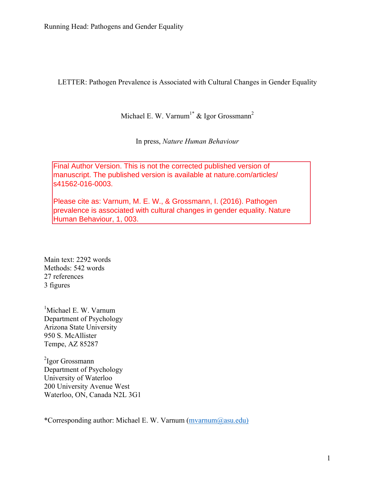LETTER: Pathogen Prevalence is Associated with Cultural Changes in Gender Equality

Michael E. W. Varnum<sup>1\*</sup> & Igor Grossmann<sup>2</sup>

In press, *Nature Human Behaviour*

Final Author Version. This is not the corrected published version of manuscript. The published version is available at nature.com/articles/ s41562-016-0003.

Please cite as: Varnum, M. E. W., & Grossmann, I. (2016). Pathogen prevalence is associated with cultural changes in gender equality. Nature Human Behaviour, 1, 003.

Main text: 2292 words Methods: 542 words 27 references 3 figures

<sup>1</sup>Michael E. W. Varnum Department of Psychology Arizona State University 950 S. McAllister Tempe, AZ 85287

<sup>2</sup>Igor Grossmann Department of Psychology University of Waterloo 200 University Avenue West Waterloo, ON, Canada N2L 3G1

\*Corresponding author: Michael E. W. Varnum (mvarnum@asu.edu)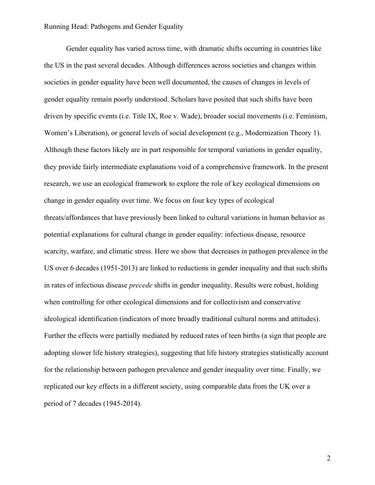Gender equality has varied across time, with dramatic shifts occurring in countries like the US in the past several decades. Although differences across societies and changes within societies in gender equality have been well documented, the causes of changes in levels of gender equality remain poorly understood. Scholars have posited that such shifts have been driven by specific events (i.e. Title IX, Roe v. Wade), broader social movements (i.e. Feminism, Women's Liberation), or general levels of social development (e.g., Modernization Theory 1). Although these factors likely are in part responsible for temporal variations in gender equality, they provide fairly intermediate explanations void of a comprehensive framework. In the present research, we use an ecological framework to explore the role of key ecological dimensions on change in gender equality over time. We focus on four key types of ecological threats/affordances that have previously been linked to cultural variations in human behavior as potential explanations for cultural change in gender equality: infectious disease, resource scarcity, warfare, and climatic stress. Here we show that decreases in pathogen prevalence in the US over 6 decades (1951-2013) are linked to reductions in gender inequality and that such shifts in rates of infectious disease *precede* shifts in gender inequality. Results were robust, holding when controlling for other ecological dimensions and for collectivism and conservative ideological identification (indicators of more broadly traditional cultural norms and attitudes). Further the effects were partially mediated by reduced rates of teen births (a sign that people are adopting slower life history strategies), suggesting that life history strategies statistically account for the relationship between pathogen prevalence and gender inequality over time. Finally, we replicated our key effects in a different society, using comparable data from the UK over a period of 7 decades (1945-2014).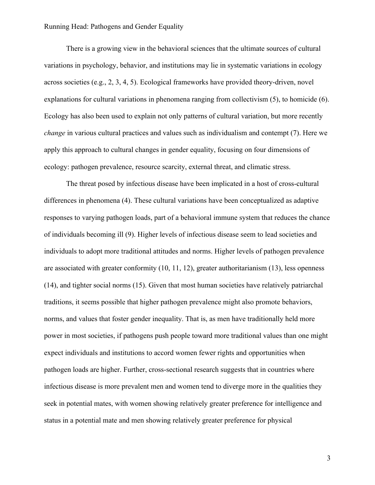There is a growing view in the behavioral sciences that the ultimate sources of cultural variations in psychology, behavior, and institutions may lie in systematic variations in ecology across societies (e.g., 2, 3, 4, 5). Ecological frameworks have provided theory-driven, novel explanations for cultural variations in phenomena ranging from collectivism (5), to homicide (6). Ecology has also been used to explain not only patterns of cultural variation, but more recently *change* in various cultural practices and values such as individualism and contempt (7). Here we apply this approach to cultural changes in gender equality, focusing on four dimensions of ecology: pathogen prevalence, resource scarcity, external threat, and climatic stress.

The threat posed by infectious disease have been implicated in a host of cross-cultural differences in phenomena (4). These cultural variations have been conceptualized as adaptive responses to varying pathogen loads, part of a behavioral immune system that reduces the chance of individuals becoming ill (9). Higher levels of infectious disease seem to lead societies and individuals to adopt more traditional attitudes and norms. Higher levels of pathogen prevalence are associated with greater conformity (10, 11, 12), greater authoritarianism (13), less openness (14), and tighter social norms (15). Given that most human societies have relatively patriarchal traditions, it seems possible that higher pathogen prevalence might also promote behaviors, norms, and values that foster gender inequality. That is, as men have traditionally held more power in most societies, if pathogens push people toward more traditional values than one might expect individuals and institutions to accord women fewer rights and opportunities when pathogen loads are higher. Further, cross-sectional research suggests that in countries where infectious disease is more prevalent men and women tend to diverge more in the qualities they seek in potential mates, with women showing relatively greater preference for intelligence and status in a potential mate and men showing relatively greater preference for physical

3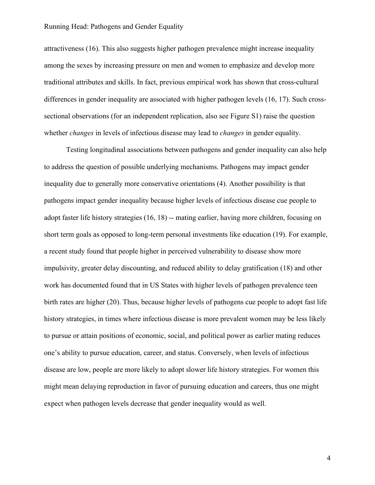attractiveness (16). This also suggests higher pathogen prevalence might increase inequality among the sexes by increasing pressure on men and women to emphasize and develop more traditional attributes and skills. In fact, previous empirical work has shown that cross-cultural differences in gender inequality are associated with higher pathogen levels (16, 17). Such crosssectional observations (for an independent replication, also see Figure S1) raise the question whether *changes* in levels of infectious disease may lead to *changes* in gender equality.

Testing longitudinal associations between pathogens and gender inequality can also help to address the question of possible underlying mechanisms. Pathogens may impact gender inequality due to generally more conservative orientations (4). Another possibility is that pathogens impact gender inequality because higher levels of infectious disease cue people to adopt faster life history strategies (16, 18) -- mating earlier, having more children, focusing on short term goals as opposed to long-term personal investments like education (19). For example, a recent study found that people higher in perceived vulnerability to disease show more impulsivity, greater delay discounting, and reduced ability to delay gratification (18) and other work has documented found that in US States with higher levels of pathogen prevalence teen birth rates are higher (20). Thus, because higher levels of pathogens cue people to adopt fast life history strategies, in times where infectious disease is more prevalent women may be less likely to pursue or attain positions of economic, social, and political power as earlier mating reduces one's ability to pursue education, career, and status. Conversely, when levels of infectious disease are low, people are more likely to adopt slower life history strategies. For women this might mean delaying reproduction in favor of pursuing education and careers, thus one might expect when pathogen levels decrease that gender inequality would as well.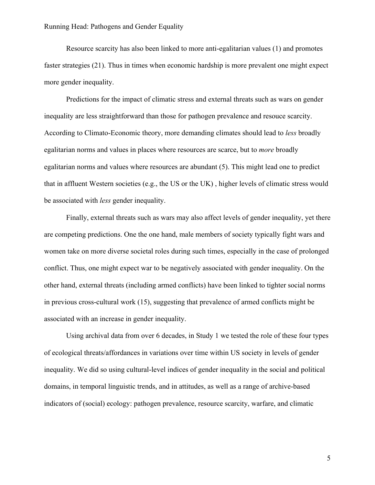Resource scarcity has also been linked to more anti-egalitarian values (1) and promotes faster strategies (21). Thus in times when economic hardship is more prevalent one might expect more gender inequality.

Predictions for the impact of climatic stress and external threats such as wars on gender inequality are less straightforward than those for pathogen prevalence and resouce scarcity. According to Climato-Economic theory, more demanding climates should lead to *less* broadly egalitarian norms and values in places where resources are scarce, but to *more* broadly egalitarian norms and values where resources are abundant (5). This might lead one to predict that in affluent Western societies (e.g., the US or the UK) , higher levels of climatic stress would be associated with *less* gender inequality.

Finally, external threats such as wars may also affect levels of gender inequality, yet there are competing predictions. One the one hand, male members of society typically fight wars and women take on more diverse societal roles during such times, especially in the case of prolonged conflict. Thus, one might expect war to be negatively associated with gender inequality. On the other hand, external threats (including armed conflicts) have been linked to tighter social norms in previous cross-cultural work (15), suggesting that prevalence of armed conflicts might be associated with an increase in gender inequality.

Using archival data from over 6 decades, in Study 1 we tested the role of these four types of ecological threats/affordances in variations over time within US society in levels of gender inequality. We did so using cultural-level indices of gender inequality in the social and political domains, in temporal linguistic trends, and in attitudes, as well as a range of archive-based indicators of (social) ecology: pathogen prevalence, resource scarcity, warfare, and climatic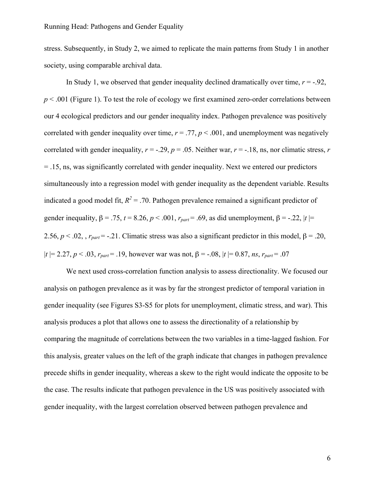stress. Subsequently, in Study 2, we aimed to replicate the main patterns from Study 1 in another society, using comparable archival data.

In Study 1, we observed that gender inequality declined dramatically over time,  $r = -0.92$ , *p* < .001 (Figure 1). To test the role of ecology we first examined zero-order correlations between our 4 ecological predictors and our gender inequality index. Pathogen prevalence was positively correlated with gender inequality over time,  $r = .77$ ,  $p < .001$ , and unemployment was negatively correlated with gender inequality,  $r = -0.29$ ,  $p = 0.05$ . Neither war,  $r = -0.18$ , ns, nor climatic stress, *r* = .15, ns, was significantly correlated with gender inequality. Next we entered our predictors simultaneously into a regression model with gender inequality as the dependent variable. Results indicated a good model fit,  $R^2$  = .70. Pathogen prevalence remained a significant predictor of gender inequality,  $\beta = .75$ ,  $t = 8.26$ ,  $p < .001$ ,  $r_{part} = .69$ , as did unemployment,  $\beta = -.22$ ,  $|t| =$ 2.56,  $p < 0.02$ , ,  $r_{part} = -0.21$ . Climatic stress was also a significant predictor in this model,  $\beta = 0.20$ ,  $|t| = 2.27, p < .03, r_{part} = .19$ , however war was not,  $\beta = -.08, |t| = 0.87, ns, r_{part} = .07$ 

We next used cross-correlation function analysis to assess directionality. We focused our analysis on pathogen prevalence as it was by far the strongest predictor of temporal variation in gender inequality (see Figures S3-S5 for plots for unemployment, climatic stress, and war). This analysis produces a plot that allows one to assess the directionality of a relationship by comparing the magnitude of correlations between the two variables in a time-lagged fashion. For this analysis, greater values on the left of the graph indicate that changes in pathogen prevalence precede shifts in gender inequality, whereas a skew to the right would indicate the opposite to be the case. The results indicate that pathogen prevalence in the US was positively associated with gender inequality, with the largest correlation observed between pathogen prevalence and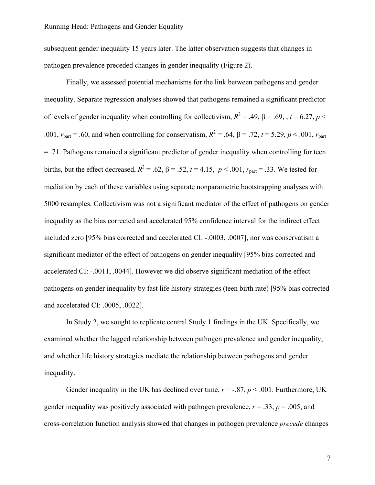subsequent gender inequality 15 years later. The latter observation suggests that changes in pathogen prevalence preceded changes in gender inequality (Figure 2).

Finally, we assessed potential mechanisms for the link between pathogens and gender inequality. Separate regression analyses showed that pathogens remained a significant predictor of levels of gender inequality when controlling for collectivism,  $R^2 = .49$ ,  $\beta = .69$ ,  $t = 6.27$ ,  $p <$ .001,  $r_{\text{part}} = .60$ , and when controlling for conservatism,  $R^2 = .64$ ,  $\beta = .72$ ,  $t = 5.29$ ,  $p < .001$ ,  $r_{\text{part}}$ = .71. Pathogens remained a significant predictor of gender inequality when controlling for teen births, but the effect decreased,  $R^2 = .62$ ,  $\beta = .52$ ,  $t = 4.15$ ,  $p < .001$ ,  $r_{part} = .33$ . We tested for mediation by each of these variables using separate nonparametric bootstrapping analyses with 5000 resamples. Collectivism was not a significant mediator of the effect of pathogens on gender inequality as the bias corrected and accelerated 95% confidence interval for the indirect effect included zero [95% bias corrected and accelerated CI: -.0003, .0007], nor was conservatism a significant mediator of the effect of pathogens on gender inequality [95% bias corrected and accelerated CI: -.0011, .0044]. However we did observe significant mediation of the effect pathogens on gender inequality by fast life history strategies (teen birth rate) [95% bias corrected and accelerated CI: .0005, .0022].

In Study 2, we sought to replicate central Study 1 findings in the UK. Specifically, we examined whether the lagged relationship between pathogen prevalence and gender inequality, and whether life history strategies mediate the relationship between pathogens and gender inequality.

Gender inequality in the UK has declined over time,  $r = -.87$ ,  $p < .001$ . Furthermore, UK gender inequality was positively associated with pathogen prevalence,  $r = .33$ ,  $p = .005$ , and cross-correlation function analysis showed that changes in pathogen prevalence *precede* changes

7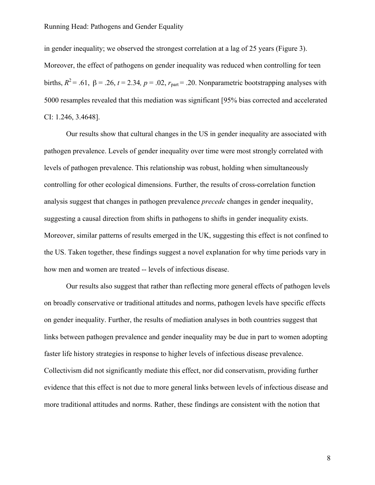in gender inequality; we observed the strongest correlation at a lag of 25 years (Figure 3). Moreover, the effect of pathogens on gender inequality was reduced when controlling for teen births,  $R^2$  = .61, β = .26, t = 2.34, p = .02,  $r_{part}$  = .20. Nonparametric bootstrapping analyses with 5000 resamples revealed that this mediation was significant [95% bias corrected and accelerated CI: 1.246, 3.4648].

Our results show that cultural changes in the US in gender inequality are associated with pathogen prevalence. Levels of gender inequality over time were most strongly correlated with levels of pathogen prevalence. This relationship was robust, holding when simultaneously controlling for other ecological dimensions. Further, the results of cross-correlation function analysis suggest that changes in pathogen prevalence *precede* changes in gender inequality, suggesting a causal direction from shifts in pathogens to shifts in gender inequality exists. Moreover, similar patterns of results emerged in the UK, suggesting this effect is not confined to the US. Taken together, these findings suggest a novel explanation for why time periods vary in how men and women are treated -- levels of infectious disease.

Our results also suggest that rather than reflecting more general effects of pathogen levels on broadly conservative or traditional attitudes and norms, pathogen levels have specific effects on gender inequality. Further, the results of mediation analyses in both countries suggest that links between pathogen prevalence and gender inequality may be due in part to women adopting faster life history strategies in response to higher levels of infectious disease prevalence. Collectivism did not significantly mediate this effect, nor did conservatism, providing further evidence that this effect is not due to more general links between levels of infectious disease and more traditional attitudes and norms. Rather, these findings are consistent with the notion that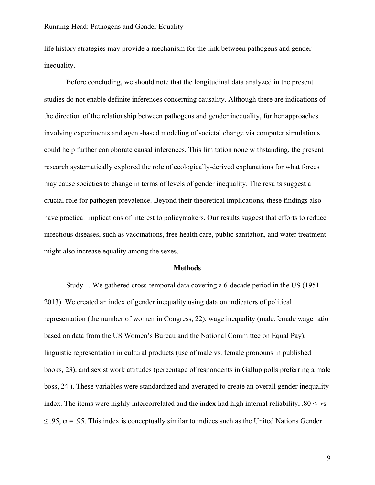life history strategies may provide a mechanism for the link between pathogens and gender inequality.

Before concluding, we should note that the longitudinal data analyzed in the present studies do not enable definite inferences concerning causality. Although there are indications of the direction of the relationship between pathogens and gender inequality, further approaches involving experiments and agent-based modeling of societal change via computer simulations could help further corroborate causal inferences. This limitation none withstanding, the present research systematically explored the role of ecologically-derived explanations for what forces may cause societies to change in terms of levels of gender inequality. The results suggest a crucial role for pathogen prevalence. Beyond their theoretical implications, these findings also have practical implications of interest to policymakers. Our results suggest that efforts to reduce infectious diseases, such as vaccinations, free health care, public sanitation, and water treatment might also increase equality among the sexes.

#### **Methods**

Study 1. We gathered cross-temporal data covering a 6-decade period in the US (1951- 2013). We created an index of gender inequality using data on indicators of political representation (the number of women in Congress, 22), wage inequality (male:female wage ratio based on data from the US Women's Bureau and the National Committee on Equal Pay), linguistic representation in cultural products (use of male vs. female pronouns in published books, 23), and sexist work attitudes (percentage of respondents in Gallup polls preferring a male boss, 24 ). These variables were standardized and averaged to create an overall gender inequality index. The items were highly intercorrelated and the index had high internal reliability, .80 < *r*s  $\leq$  .95,  $\alpha$  = .95. This index is conceptually similar to indices such as the United Nations Gender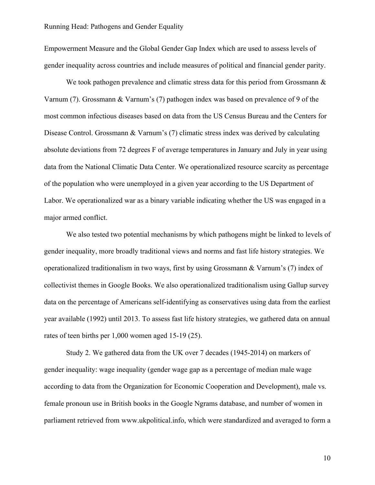Empowerment Measure and the Global Gender Gap Index which are used to assess levels of gender inequality across countries and include measures of political and financial gender parity.

We took pathogen prevalence and climatic stress data for this period from Grossmann  $\&$ Varnum (7). Grossmann & Varnum's (7) pathogen index was based on prevalence of 9 of the most common infectious diseases based on data from the US Census Bureau and the Centers for Disease Control. Grossmann & Varnum's (7) climatic stress index was derived by calculating absolute deviations from 72 degrees F of average temperatures in January and July in year using data from the National Climatic Data Center. We operationalized resource scarcity as percentage of the population who were unemployed in a given year according to the US Department of Labor. We operationalized war as a binary variable indicating whether the US was engaged in a major armed conflict.

We also tested two potential mechanisms by which pathogens might be linked to levels of gender inequality, more broadly traditional views and norms and fast life history strategies. We operationalized traditionalism in two ways, first by using Grossmann & Varnum's (7) index of collectivist themes in Google Books. We also operationalized traditionalism using Gallup survey data on the percentage of Americans self-identifying as conservatives using data from the earliest year available (1992) until 2013. To assess fast life history strategies, we gathered data on annual rates of teen births per 1,000 women aged 15-19 (25).

Study 2. We gathered data from the UK over 7 decades (1945-2014) on markers of gender inequality: wage inequality (gender wage gap as a percentage of median male wage according to data from the Organization for Economic Cooperation and Development), male vs. female pronoun use in British books in the Google Ngrams database, and number of women in parliament retrieved from www.ukpolitical.info, which were standardized and averaged to form a

10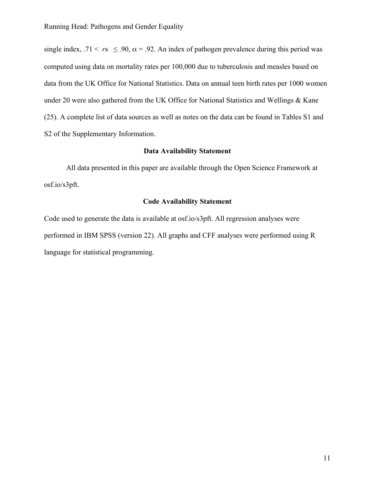single index, .71 <  $r_s \le 0.90$ ,  $\alpha = 0.92$ . An index of pathogen prevalence during this period was computed using data on mortality rates per 100,000 due to tuberculosis and measles based on data from the UK Office for National Statistics. Data on annual teen birth rates per 1000 women under 20 were also gathered from the UK Office for National Statistics and Wellings & Kane (25). A complete list of data sources as well as notes on the data can be found in Tables S1 and S2 of the Supplementary Information.

# **Data Availability Statement**

All data presented in this paper are available through the Open Science Framework at osf.io/s3pft.

# **Code Availability Statement**

Code used to generate the data is available at osf.io/s3pft. All regression analyses were performed in IBM SPSS (version 22). All graphs and CFF analyses were performed using R language for statistical programming.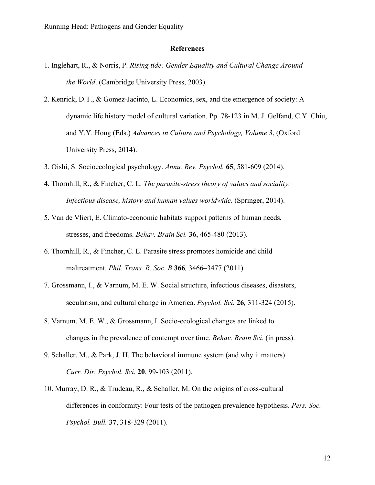#### **References**

- 1. Inglehart, R., & Norris, P. *Rising tide: Gender Equality and Cultural Change Around the World*. (Cambridge University Press, 2003).
- 2. Kenrick, D.T., & Gomez-Jacinto, L. Economics, sex, and the emergence of society: A dynamic life history model of cultural variation. Pp. 78-123 in M. J. Gelfand, C.Y. Chiu, and Y.Y. Hong (Eds.) *Advances in Culture and Psychology, Volume 3*, (Oxford University Press, 2014).
- 3. Oishi, S. Socioecological psychology. *Annu. Rev. Psychol.* **65**, 581-609 (2014).
- 4. Thornhill, R., & Fincher, C. L. *The parasite-stress theory of values and sociality: Infectious disease, history and human values worldwide*. (Springer, 2014).
- 5. Van de Vliert, E. Climato-economic habitats support patterns of human needs, stresses, and freedoms. *Behav. Brain Sci.* **36**, 465-480 (2013).
- 6. Thornhill, R., & Fincher, C. L. Parasite stress promotes homicide and child maltreatment. *Phil. Trans. R. Soc. B* **366***,* 3466–3477 (2011).
- 7. Grossmann, I., & Varnum, M. E. W. Social structure, infectious diseases, disasters, secularism, and cultural change in America. *Psychol. Sci.* **26***,* 311-324 (2015).
- 8. Varnum, M. E. W., & Grossmann, I. Socio-ecological changes are linked to changes in the prevalence of contempt over time. *Behav. Brain Sci.* (in press).
- 9. Schaller, M., & Park, J. H. The behavioral immune system (and why it matters). *Curr. Dir. Psychol. Sci.* **20**, 99-103 (2011).
- 10. Murray, D. R., & Trudeau, R., & Schaller, M. On the origins of cross-cultural differences in conformity: Four tests of the pathogen prevalence hypothesis. *Pers. Soc. Psychol. Bull.* **37**, 318-329 (2011).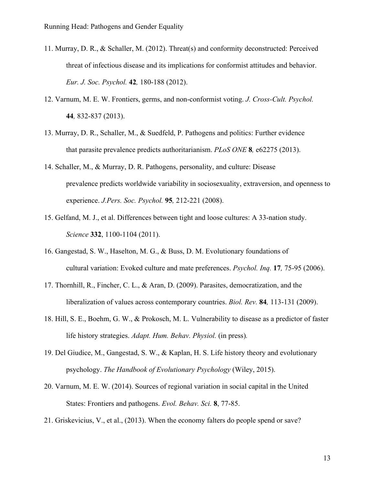- 11. Murray, D. R., & Schaller, M. (2012). Threat(s) and conformity deconstructed: Perceived threat of infectious disease and its implications for conformist attitudes and behavior. *Eur. J. Soc. Psychol.* **42***,* 180-188 (2012).
- 12. Varnum, M. E. W. Frontiers, germs, and non-conformist voting. *J. Cross-Cult. Psychol.* **44***,* 832-837 (2013).
- 13. Murray, D. R., Schaller, M., & Suedfeld, P. Pathogens and politics: Further evidence that parasite prevalence predicts authoritarianism. *PLoS ONE* **8***,* e62275 (2013).
- 14. Schaller, M., & Murray, D. R. Pathogens, personality, and culture: Disease prevalence predicts worldwide variability in sociosexuality, extraversion, and openness to experience. *J.Pers. Soc. Psychol.* **95***,* 212-221 (2008).
- 15. Gelfand, M. J., et al. Differences between tight and loose cultures: A 33-nation study. *Science* **332**, 1100-1104 (2011).
- 16. Gangestad, S. W., Haselton, M. G., & Buss, D. M. Evolutionary foundations of cultural variation: Evoked culture and mate preferences. *Psychol. Inq.* **17***,* 75-95 (2006).
- 17. Thornhill, R., Fincher, C. L., & Aran, D. (2009). Parasites, democratization, and the liberalization of values across contemporary countries. *Biol. Rev.* **84***,* 113-131 (2009).
- 18. Hill, S. E., Boehm, G. W., & Prokosch, M. L. Vulnerability to disease as a predictor of faster life history strategies. *Adapt. Hum. Behav. Physiol.* (in press)*.*
- 19. Del Giudice, M., Gangestad, S. W., & Kaplan, H. S. Life history theory and evolutionary psychology. *The Handbook of Evolutionary Psychology* (Wiley, 2015).
- 20. Varnum, M. E. W. (2014). Sources of regional variation in social capital in the United States: Frontiers and pathogens. *Evol. Behav. Sci.* **8**, 77-85.
- 21. Griskevicius, V., et al., (2013). When the economy falters do people spend or save?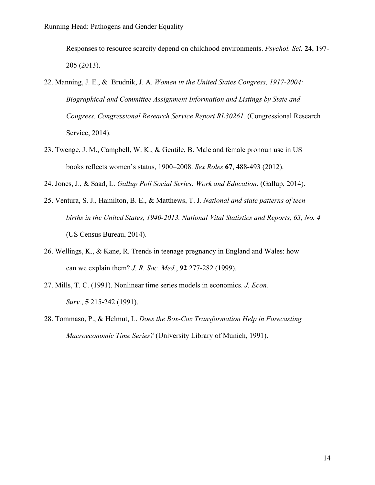Responses to resource scarcity depend on childhood environments. *Psychol. Sci.* **24**, 197- 205 (2013).

- 22. Manning, J. E., & Brudnik, J. A. *Women in the United States Congress, 1917-2004: Biographical and Committee Assignment Information and Listings by State and Congress. Congressional Research Service Report RL30261.* (Congressional Research Service, 2014).
- 23. Twenge, J. M., Campbell, W. K., & Gentile, B. Male and female pronoun use in US books reflects women's status, 1900–2008. *Sex Roles* **67**, 488-493 (2012).
- 24. Jones, J., & Saad, L. *Gallup Poll Social Series: Work and Education*. (Gallup, 2014).
- 25. Ventura, S. J., Hamilton, B. E., & Matthews, T. J. *National and state patterns of teen births in the United States, 1940-2013. National Vital Statistics and Reports, 63, No. 4* (US Census Bureau, 2014).
- 26. Wellings, K., & Kane, R. Trends in teenage pregnancy in England and Wales: how can we explain them? *J. R. Soc. Med.*, **92** 277-282 (1999).
- 27. Mills, T. C. (1991). Nonlinear time series models in economics. *J. Econ. Surv.*, **5** 215-242 (1991).
- 28. Tommaso, P., & Helmut, L. *Does the Box-Cox Transformation Help in Forecasting Macroeconomic Time Series?* (University Library of Munich, 1991).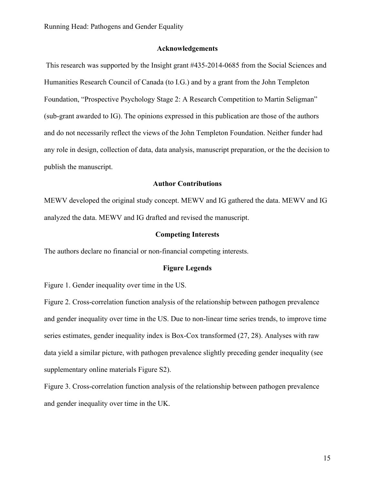# **Acknowledgements**

This research was supported by the Insight grant #435-2014-0685 from the Social Sciences and Humanities Research Council of Canada (to I.G.) and by a grant from the John Templeton Foundation, "Prospective Psychology Stage 2: A Research Competition to Martin Seligman" (sub-grant awarded to IG). The opinions expressed in this publication are those of the authors and do not necessarily reflect the views of the John Templeton Foundation. Neither funder had any role in design, collection of data, data analysis, manuscript preparation, or the the decision to publish the manuscript.

#### **Author Contributions**

MEWV developed the original study concept. MEWV and IG gathered the data. MEWV and IG analyzed the data. MEWV and IG drafted and revised the manuscript.

#### **Competing Interests**

The authors declare no financial or non-financial competing interests.

#### **Figure Legends**

Figure 1. Gender inequality over time in the US.

Figure 2. Cross-correlation function analysis of the relationship between pathogen prevalence and gender inequality over time in the US. Due to non-linear time series trends, to improve time series estimates, gender inequality index is Box-Cox transformed (27, 28). Analyses with raw data yield a similar picture, with pathogen prevalence slightly preceding gender inequality (see supplementary online materials Figure S2).

Figure 3. Cross-correlation function analysis of the relationship between pathogen prevalence and gender inequality over time in the UK.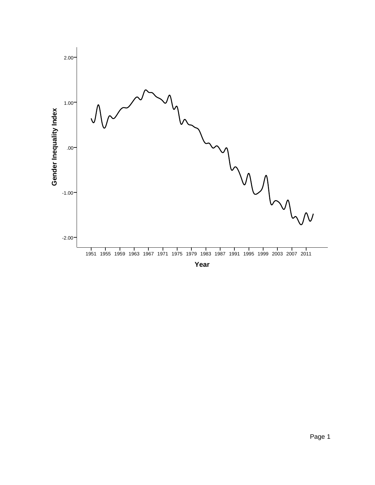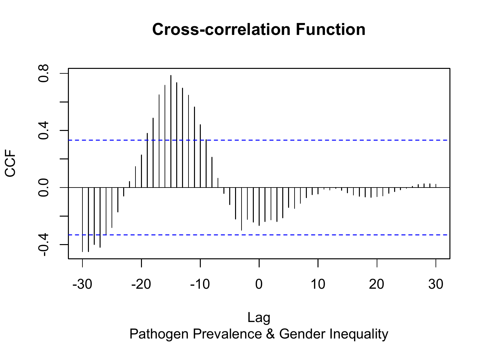# **Cross-correlation Function**

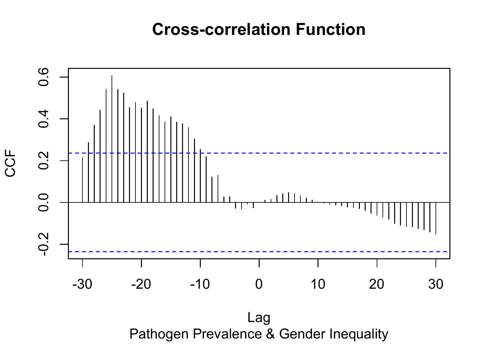# **Cross-correlation Function**

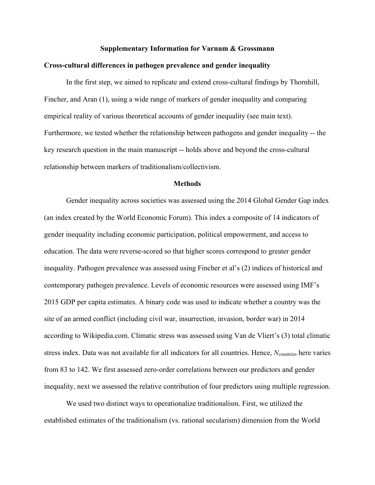#### **Supplementary Information for Varnum & Grossmann**

#### **Cross-cultural differences in pathogen prevalence and gender inequality**

In the first step, we aimed to replicate and extend cross-cultural findings by Thornhill, Fincher, and Aran (1), using a wide range of markers of gender inequality and comparing empirical reality of various theoretical accounts of gender inequality (see main text). Furthermore, we tested whether the relationship between pathogens and gender inequality -- the key research question in the main manuscript -- holds above and beyond the cross-cultural relationship between markers of traditionalism/collectivism.

#### **Methods**

Gender inequality across societies was assessed using the 2014 Global Gender Gap index (an index created by the World Economic Forum). This index a composite of 14 indicators of gender inequality including economic participation, political empowerment, and access to education. The data were reverse-scored so that higher scores correspond to greater gender inequality. Pathogen prevalence was assessed using Fincher et al's (2) indices of historical and contemporary pathogen prevalence. Levels of economic resources were assessed using IMF's 2015 GDP per capita estimates. A binary code was used to indicate whether a country was the site of an armed conflict (including civil war, insurrection, invasion, border war) in 2014 according to Wikipedia.com. Climatic stress was assessed using Van de Vliert's (3) total climatic stress index. Data was not available for all indicators for all countries. Hence, *N*<sub>countries</sub> here varies from 83 to 142. We first assessed zero-order correlations between our predictors and gender inequality, next we assessed the relative contribution of four predictors using multiple regression.

We used two distinct ways to operationalize traditionalism. First, we utilized the established estimates of the traditionalism (vs. rational secularism) dimension from the World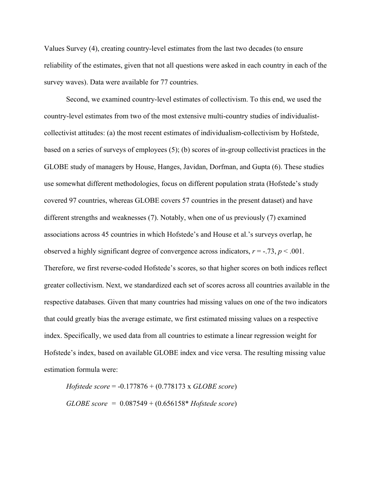Values Survey (4), creating country-level estimates from the last two decades (to ensure reliability of the estimates, given that not all questions were asked in each country in each of the survey waves). Data were available for 77 countries.

Second, we examined country-level estimates of collectivism. To this end, we used the country-level estimates from two of the most extensive multi-country studies of individualistcollectivist attitudes: (a) the most recent estimates of individualism-collectivism by Hofstede, based on a series of surveys of employees (5); (b) scores of in-group collectivist practices in the GLOBE study of managers by House, Hanges, Javidan, Dorfman, and Gupta (6). These studies use somewhat different methodologies, focus on different population strata (Hofstede's study covered 97 countries, whereas GLOBE covers 57 countries in the present dataset) and have different strengths and weaknesses (7). Notably, when one of us previously (7) examined associations across 45 countries in which Hofstede's and House et al.'s surveys overlap, he observed a highly significant degree of convergence across indicators,  $r = -0.73$ ,  $p < 0.001$ . Therefore, we first reverse-coded Hofstede's scores, so that higher scores on both indices reflect greater collectivism. Next, we standardized each set of scores across all countries available in the respective databases. Given that many countries had missing values on one of the two indicators that could greatly bias the average estimate, we first estimated missing values on a respective index. Specifically, we used data from all countries to estimate a linear regression weight for Hofstede's index, based on available GLOBE index and vice versa. The resulting missing value estimation formula were:

*Hofstede score* = -0.177876 + (0.778173 x *GLOBE score*) *GLOBE score =* 0.087549 + (0.656158\* *Hofstede score*)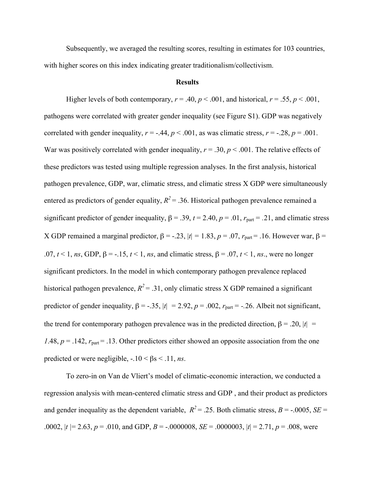Subsequently, we averaged the resulting scores, resulting in estimates for 103 countries, with higher scores on this index indicating greater traditionalism/collectivism.

#### **Results**

Higher levels of both contemporary,  $r = .40$ ,  $p < .001$ , and historical,  $r = .55$ ,  $p < .001$ , pathogens were correlated with greater gender inequality (see Figure S1). GDP was negatively correlated with gender inequality,  $r = -0.44$ ,  $p < 0.001$ , as was climatic stress,  $r = -0.28$ ,  $p = 0.001$ . War was positively correlated with gender inequality,  $r = .30$ ,  $p < .001$ . The relative effects of these predictors was tested using multiple regression analyses. In the first analysis, historical pathogen prevalence, GDP, war, climatic stress, and climatic stress X GDP were simultaneously entered as predictors of gender equality,  $R^2$  = .36. Historical pathogen prevalence remained a significant predictor of gender inequality,  $\beta = .39$ ,  $t = 2.40$ ,  $p = .01$ ,  $r_{part} = .21$ , and climatic stress X GDP remained a marginal predictor,  $β = -.23$ ,  $|t| = 1.83$ ,  $p = .07$ ,  $r_{part} = .16$ . However war,  $β =$ .07,  $t \le 1$ ,  $ns$ , GDP,  $\beta = -15$ ,  $t \le 1$ ,  $ns$ , and climatic stress,  $\beta = .07$ ,  $t \le 1$ ,  $ns$ ., were no longer significant predictors. In the model in which contemporary pathogen prevalence replaced historical pathogen prevalence,  $R^2 = .31$ , only climatic stress X GDP remained a significant predictor of gender inequality,  $\beta = -.35$ ,  $|t| = 2.92$ ,  $p = .002$ ,  $r_{part} = -.26$ . Albeit not significant, the trend for contemporary pathogen prevalence was in the predicted direction,  $β = .20$ ,  $|t| =$ *1.*48,  $p = 0.142$ ,  $r_{part} = 0.13$ . Other predictors either showed an opposite association from the one predicted or were negligible,  $-.10 < \beta s < .11$ , *ns*.

To zero-in on Van de Vliert's model of climatic-economic interaction, we conducted a regression analysis with mean-centered climatic stress and GDP , and their product as predictors and gender inequality as the dependent variable,  $R^2 = .25$ . Both climatic stress,  $B = -.0005$ ,  $SE =$ .0002,  $|t| = 2.63$ ,  $p = .010$ , and GDP,  $B = -.0000008$ ,  $SE = .0000003$ ,  $|t| = 2.71$ ,  $p = .008$ , were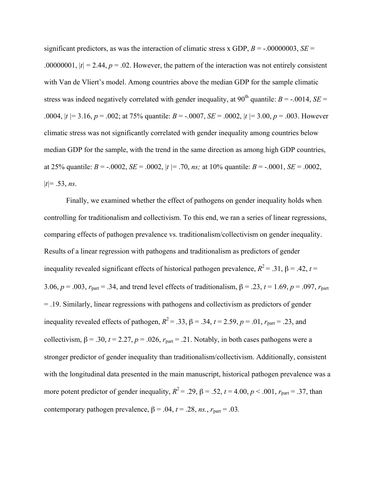significant predictors, as was the interaction of climatic stress x GDP,  $B = -0.00000003$ ,  $SE =$ .00000001,  $|t| = 2.44$ ,  $p = 0.02$ . However, the pattern of the interaction was not entirely consistent with Van de Vliert's model. Among countries above the median GDP for the sample climatic stress was indeed negatively correlated with gender inequality, at  $90^{th}$  quantile: *B* = -.0014, *SE* = .0004, |*t |*= 3.16, *p* = .002; at 75% quantile: *B* = -.0007, *SE* = .0002, |*t |*= 3.00, *p* = .003. However climatic stress was not significantly correlated with gender inequality among countries below median GDP for the sample, with the trend in the same direction as among high GDP countries, at 25% quantile:  $B = -0.0002$ ,  $SE = 0.0002$ ,  $|t| = 0.70$ ,  $ns$ ; at 10% quantile:  $B = -0.0001$ ,  $SE = 0.0002$ ,  $|t|= .53, ns.$ 

Finally, we examined whether the effect of pathogens on gender inequality holds when controlling for traditionalism and collectivism. To this end, we ran a series of linear regressions, comparing effects of pathogen prevalence vs. traditionalism/collectivism on gender inequality. Results of a linear regression with pathogens and traditionalism as predictors of gender inequality revealed significant effects of historical pathogen prevalence,  $R^2 = .31$ ,  $\beta = .42$ ,  $t =$ 3.06,  $p = .003$ ,  $r_{part} = .34$ , and trend level effects of traditionalism,  $\beta = .23$ ,  $t = 1.69$ ,  $p = .097$ ,  $r_{part}$ = .19. Similarly, linear regressions with pathogens and collectivism as predictors of gender inequality revealed effects of pathogen,  $R^2 = .33$ ,  $\beta = .34$ ,  $t = 2.59$ ,  $p = .01$ ,  $r_{part} = .23$ , and collectivism,  $\beta = .30$ ,  $t = 2.27$ ,  $p = .026$ ,  $r_{part} = .21$ . Notably, in both cases pathogens were a stronger predictor of gender inequality than traditionalism/collectivism. Additionally, consistent with the longitudinal data presented in the main manuscript, historical pathogen prevalence was a more potent predictor of gender inequality,  $R^2 = .29$ ,  $\beta = .52$ ,  $t = 4.00$ ,  $p < .001$ ,  $r_{part} = .37$ , than contemporary pathogen prevalence,  $\beta = .04$ ,  $t = .28$ , *ns.*,  $r_{part} = .03$ .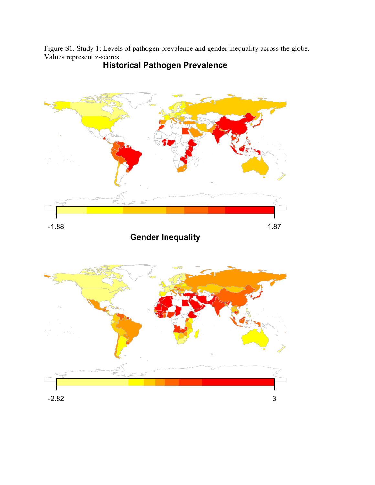Figure S1. Study 1: Levels of pathogen prevalence and gender inequality across the globe. Values represent z-scores.



# Historical Pathogen Prevalence

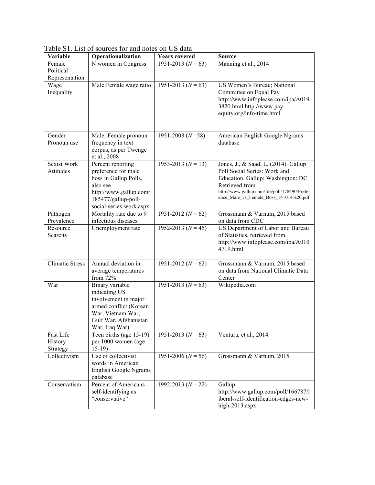| Variable                             | Operationalization                                                                                                                                        | <b>Years</b> covered   | <b>Source</b>                                                                                                                                                                                                          |
|--------------------------------------|-----------------------------------------------------------------------------------------------------------------------------------------------------------|------------------------|------------------------------------------------------------------------------------------------------------------------------------------------------------------------------------------------------------------------|
| Female<br>Political                  | N women in Congress                                                                                                                                       | $1951 - 2013 (N = 63)$ | Manning et al., 2014                                                                                                                                                                                                   |
| Representation<br>Wage<br>Inequality | Male:Female wage ratio                                                                                                                                    | 1951-2013 ( $N = 63$ ) | US Women's Bureau; National<br>Committee on Equal Pay<br>http://www.infoplease.com/ipa/A019<br>3820.html http://www.pay-<br>equity.org/info-time.html                                                                  |
| Gender<br>Pronoun use                | Male: Female pronoun<br>frequency in text<br>corpus, as per Twenge<br>et al., 2008                                                                        | 1951-2008 ( $N = 58$ ) | American English Google Ngrams<br>database                                                                                                                                                                             |
| <b>Sexist Work</b><br>Attitudes      | Percent reporting<br>preference for male<br>boss in Gallup Polls,<br>also see<br>http://www.gallup.com/<br>185477/gallup-poll-<br>social-series-work.aspx | 1953-2013 ( $N = 13$ ) | Jones, J., & Saad, L. (2014). Gallup<br>Poll Social Series: Work and<br>Education. Gallup: Washington: DC<br>Retrieved from<br>http://www.gallup.com/file/poll/178490/Prefer<br>ence Male vs Female Boss 141014%20.pdf |
| Pathogen<br>Prevalence               | Mortality rate due to 9<br>infectious diseases                                                                                                            | 1951-2012 ( $N = 62$ ) | Grossmann & Varnum, 2015 based<br>on data from CDC                                                                                                                                                                     |
| Resource<br>Scarcity                 | Unemployment rate                                                                                                                                         | 1952-2013 $(N = 45)$   | US Department of Labor and Bureau<br>of Statistics, retrieved from<br>http://www.infoplease.com/ipa/A010<br>4719.html                                                                                                  |
| <b>Climatic Stress</b>               | Annual deviation in<br>average temperatures<br>from 72%                                                                                                   | 1951-2012 ( $N = 62$ ) | Grossmann & Varnum, 2015 based<br>on data from National Climatic Data<br>Center                                                                                                                                        |
| War                                  | Binary variable<br>indicating US<br>involvement in major<br>armed conflict (Korean<br>War, Vietnam War,<br>Gulf War, Afghanistan<br>War, Iraq War)        | $1951 - 2013 (N = 63)$ | Wikipedia.com                                                                                                                                                                                                          |
| Fast Life<br>History<br>Strategy     | Teen births (age 15-19)<br>per 1000 women (age<br>$15-19$                                                                                                 | $1951 - 2013 (N = 63)$ | Ventura, et al., 2014                                                                                                                                                                                                  |
| Collectivism                         | Use of collectivist<br>words in American<br>English Google Ngrams<br>database                                                                             | $1951 - 2006 (N = 56)$ | Grossmann & Varnum, 2015                                                                                                                                                                                               |
| Conservatism                         | Percent of Americans<br>self-identifying as<br>"conservative"                                                                                             | 1992-2013 $(N = 22)$   | Gallup<br>http://www.gallup.com/poll/166787/l<br>iberal-self-identification-edges-new-<br>high-2013.aspx                                                                                                               |

Table S1. List of sources for and notes on US data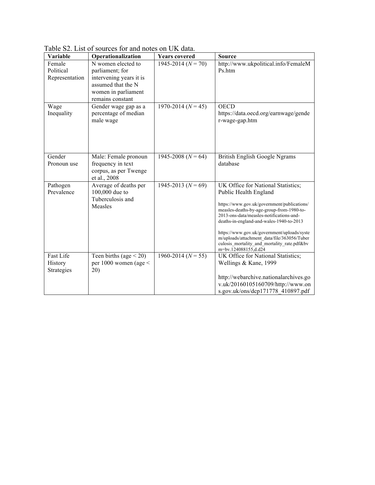| Variable                              | Operationalization                                                                                                                | <b>Years covered</b>   | <b>Source</b>                                                                                                                                                                                                                                                                                                                                                                                                        |
|---------------------------------------|-----------------------------------------------------------------------------------------------------------------------------------|------------------------|----------------------------------------------------------------------------------------------------------------------------------------------------------------------------------------------------------------------------------------------------------------------------------------------------------------------------------------------------------------------------------------------------------------------|
| Female<br>Political<br>Representation | N women elected to<br>parliament; for<br>intervening years it is<br>assumed that the N<br>women in parliament<br>remains constant | $1945 - 2014 (N = 70)$ | http://www.ukpolitical.info/FemaleM<br>Ps.htm                                                                                                                                                                                                                                                                                                                                                                        |
| Wage<br>Inequality                    | Gender wage gap as a<br>percentage of median<br>male wage                                                                         | $1970 - 2014 (N = 45)$ | <b>OECD</b><br>https://data.oecd.org/earnwage/gende<br>r-wage-gap.htm                                                                                                                                                                                                                                                                                                                                                |
| Gender<br>Pronoun use                 | Male: Female pronoun<br>frequency in text<br>corpus, as per Twenge<br>et al., 2008                                                | 1945-2008 ( $N = 64$ ) | British English Google Ngrams<br>database                                                                                                                                                                                                                                                                                                                                                                            |
| Pathogen<br>Prevalence                | Average of deaths per<br>100,000 due to<br>Tuberculosis and<br>Measles                                                            | 1945-2013 ( $N = 69$ ) | UK Office for National Statistics;<br>Public Health England<br>https://www.gov.uk/government/publications/<br>measles-deaths-by-age-group-from-1980-to-<br>2013-ons-data/measles-notifications-and-<br>deaths-in-england-and-wales-1940-to-2013<br>https://www.gov.uk/government/uploads/syste<br>m/uploads/attachment_data/file/363056/Tuber<br>culosis_mortality_and_mortality_rate.pdf&bv<br>m=bv.124088155,d.d24 |
| Fast Life<br>History<br>Strategies    | Teen births (age $\leq$ 20)<br>per 1000 women (age $\le$<br>20)                                                                   | $1960 - 2014 (N = 55)$ | UK Office for National Statistics;<br>Wellings & Kane, 1999<br>http://webarchive.nationalarchives.go<br>v.uk/20160105160709/http://www.on<br>s.gov.uk/ons/dcp171778 410897.pdf                                                                                                                                                                                                                                       |

Table S2. List of sources for and notes on UK data.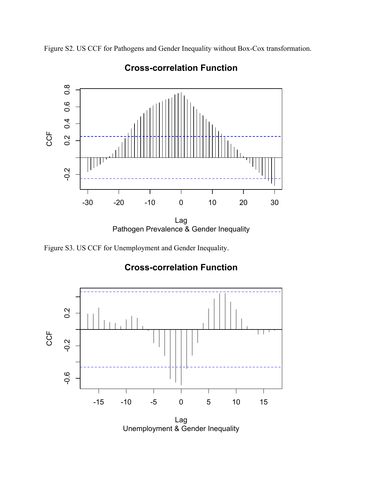Figure S2. US CCF for Pathogens and Gender Inequality without Box-Cox transformation.



# Cross-correlation Function

Figure S3. US CCF for Unemployment and Gender Inequality.

# Cross-correlation Function



Unemployment & Gender Inequality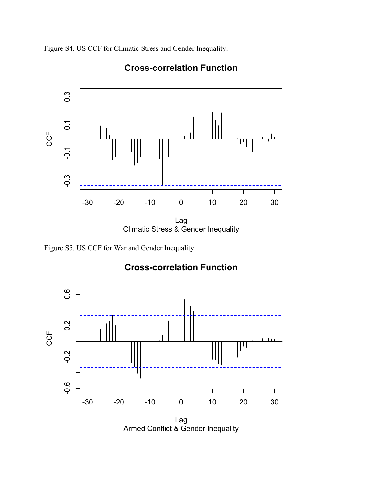Figure S4. US CCF for Climatic Stress and Gender Inequality.



# Cross-correlation Function

Figure S5. US CCF for War and Gender Inequality.



# Cross-correlation Function

Armed Conflict & Gender Inequality Lag